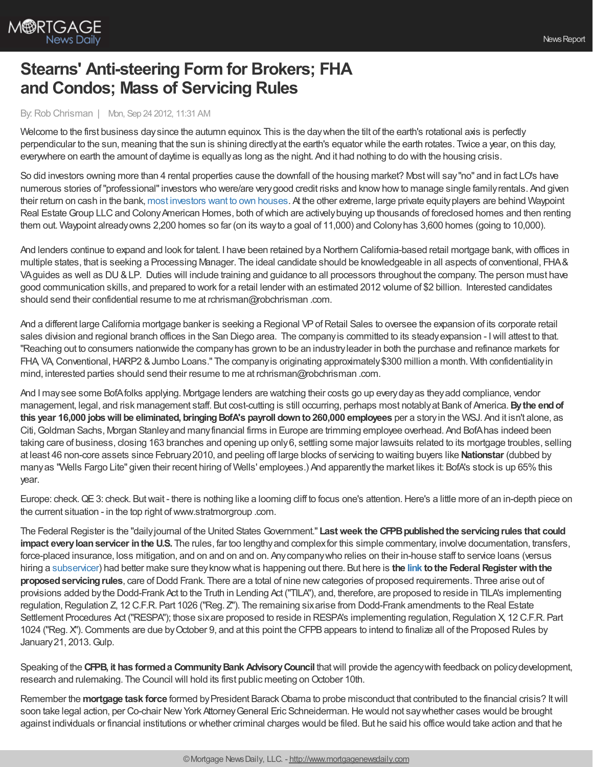

## **Stearns' Anti-steering Form for Brokers; FHA and Condos; Mass of Servicing Rules**

## By:Rob Chrisman | Mon, Sep 24 2012, 11:31 AM

Welcome to the first business day since the autumn equinox. This is the day when the tilt of the earth's rotational axis is perfectly perpendicular to the sun, meaning that the sun is shining directlyat the earth's equator while the earth rotates. Twice a year, on this day, everywhere on earth the amount of daytime is equallyas long as the night. And it had nothing to do with the housing crisis.

So did investors owning more than 4 rental properties cause the downfall of the housing market? Mostwill say"no" and in fact LO's have numerous stories of"professional"investors who were/are verygood credit risks and knowhowto manage single familyrentals. And given their return on cash in the bank, most [investors](http://www.bloomberg.com/news/2012-09-20/real-estate-investors-plan-to-purchase-more-homes-in-u-s-.html) want to own houses. At the other extreme, large private equityplayers are behind Waypoint Real Estate Group LLC and Colony American Homes, both of which are actively buying up thousands of foreclosed homes and then renting them out. Waypoint alreadyowns 2,200 homes so far (on its wayto a goal of 11,000) and Colonyhas 3,600 homes (going to 10,000).

And lenders continue to expand and look for talent. I have been retained by a Northern California-based retail mortgage bank, with offices in multiple states, that is seeking a Processing Manager. The ideal candidate should be knowledgeable in all aspects of conventional, FHA& VAguides as well as DU&LP. Duties will include training and guidance to all processors throughout the company. The person must have good communication skills, and prepared to work for a retail lender with an estimated 2012 volume of \$2 billion. Interested candidates should send their confidential resume to me at rchrisman@robchrisman .com.

And a different large California mortgage banker is seeking a Regional VPofRetail Sales to oversee the expansion of its corporate retail sales division and regional branch offices in the San Diego area. The companyis committed to its steadyexpansion - Iwill attest to that. "Reaching out to consumers nationwide the companyhas grown to be an industryleader in both the purchase and refinance markets for FHA, VA, Conventional, HARP2 & Jumbo Loans." The company is originating approximately \$300 million a month. With confidentiality in mind, interested parties should send their resume to me at rchrisman@robchrisman .com.

And I maysee some BofAfolks applying. Mortgage lenders are watching their costs go up everydayas theyadd compliance, vendor management, legal, and risk management staff. But cost-cutting is still occurring, perhaps most notablyat Bank of America.**Bythe endof this year 16,000 jobswill be eliminated, bringingBofA's payroll downto260,000 employees** per a storyin the WSJ. And it isn't alone, as Citi, Goldman Sachs, Morgan Stanley and many financial firms in Europe are trimming employee overhead. And BofAhas indeed been taking care of business, closing 163 branches and opening up only6, settling some major lawsuits related to its mortgage troubles, selling at least 46 non-core assets since February2010, and peeling off large blocks of servicing to waiting buyers like **Nationstar** (dubbed by manyas "Wells Fargo Lite" given their recent hiring of Wells' employees.) And apparently the market likes it: BofA's stock is up 65% this year.

Europe: check.QE3: check. Butwait - there is nothing like a looming cliff to focus one's attention.Here's a little more of an in-depth piece on the current situation - in the top right of www.stratmorgroup .com.

The Federal Register is the "dailyjournal of the United States Government." **Lastweek the CFPBpublishedthe servicingrules that could impact everyloanservicer inthe U.S.** The rules, far too lengthyand complexfor this simple commentary, involve documentation, transfers, force-placed insurance, loss mitigation, and on and on and on. Anycompanywho relies on their in-house staff to service loans (versus hiring a [subservicer](http://www.robchrisman.com/a1347728400.htm)) had better make sure theyknowwhat is happening out there. But here is **the [link](https://www.federalregister.gov/agencies/consumer-financial-protection-bureau) tothe FederalRegister withthe proposed servicing rules**, care of Dodd Frank. There are a total of nine new categories of proposed requirements. Three arise out of provisions added bythe Dodd-Frank Act to the Truth in Lending Act ("TILA"), and, therefore, are proposed to reside in TILA's implementing regulation, Regulation Z, 12 C.F.R. Part 1026 ("Reg. Z"). The remaining sixarise from Dodd-Frank amendments to the Real Estate Settlement Procedures Act ("RESPA"); those sixare proposed to reside in RESPA's implementing regulation, Regulation X, 12 C.F.R. Part 1024 ("Reg. X").Comments are due byOctober 9, and at this point the CFPBappears to intend to finalize all of the Proposed Rules by January21, 2013.Gulp.

Speaking of the **CFPB, it has formeda CommunityBank AdvisoryCouncil** thatwill provide the agencywith feedback on policydevelopment, research and rulemaking. The Council will hold its first public meeting on October 10th.

Remember the **mortgage task force** formed by President Barack Obama to probe misconduct that contributed to the financial crisis? It will soon take legal action, per Co-chair New York Attorney General Eric Schneiderman. He would not say whether cases would be brought against individuals or financial institutions or whether criminal charges would be filed. But he said his office would take action and that he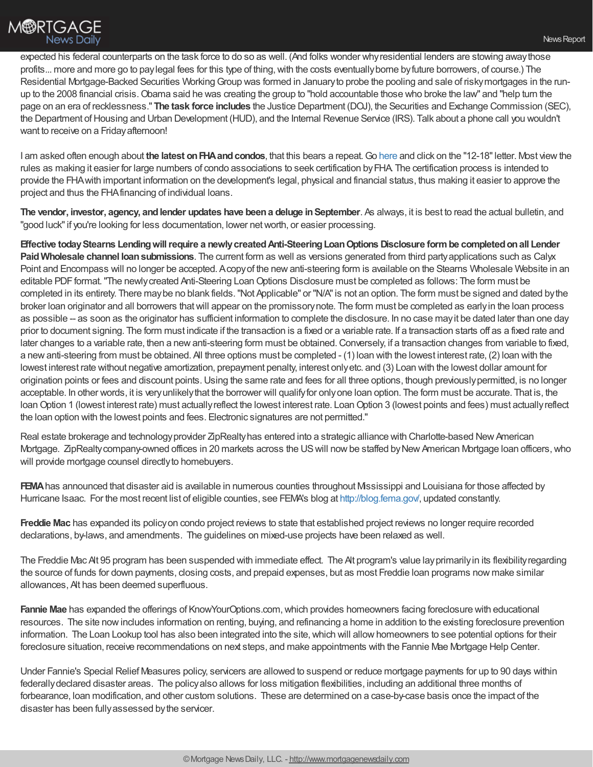expected his federal counterparts on the task force to do so as well. (And folks wonder whyresidential lenders are stowing awaythose profits... more and more go to paylegal fees for this type of thing, with the costs eventually borne by future borrowers, of course.) The Residential Mortgage-Backed Securities Working Group was formed in January to probe the pooling and sale of risky mortgages in the runup to the 2008 financial crisis. Obama said he was creating the group to "hold accountable those who broke the law" and "help turn the page on an era of recklessness." **The task force includes** the Justice Department (DOJ), the Securities and Exchange Commission (SEC), the Department of Housing and Urban Development (HUD), and the Internal Revenue Service (IRS). Talk about a phone call you wouldn't want to receive on a Friday afternoon!

I am asked often enough about **the latest onFHAandcondos**, that this bears a repeat.Go [here](http://portal.hud.gov/hudportal/HUD?src=/program_offices/administration/hudclips/letters/mortgagee) and click on the "12-18"letter. Most viewthe rules as making it easier for large numbers of condo associations to seek certification byFHA. The certification process is intended to provide the FHAwith important information on the development's legal, physical and financial status, thus making it easier to approve the project and thus the FHAfinancing of individual loans.

**The vendor, investor, agency, andlender updates have beena deluge inSeptember**. As always, it is best to read the actual bulletin, and "good luck"if you're looking for less documentation, lower networth, or easier processing.

**Effective todayStearns Lendingwillrequire a newlycreatedAnti-SteeringLoanOptions Disclosure formbe completedonall Lender PaidWholesale channel loansubmissions**. The current form as well as versions generated from third partyapplications such as Calyx Point and Encompass will no longer be accepted. Acopyof the newanti-steering form is available on the Stearns Wholesale Website in an editable PDF format. "The newly created Anti-Steering Loan Options Disclosure must be completed as follows: The form must be completed in its entirety. There maybe no blank fields."Not Applicable" or "N/A"is not an option. The form must be signed and dated bythe broker loan originator and all borrowers thatwill appear on the promissorynote. The form must be completed as earlyin the loan process as possible -- as soon as the originator has sufficient information to complete the disclosure. In no case mayit be dated later than one day prior to document signing. The form must indicate if the transaction is a fixed or a variable rate. If a transaction starts off as a fixed rate and later changes to a variable rate, then a new anti-steering form must be obtained. Conversely, if a transaction changes from variable to fixed, a newanti-steering from must be obtained. All three options must be completed - (1) loan with the lowest interest rate, (2) loan with the lowest interest rate without negative amortization, prepayment penalty, interest onlyetc. and (3) Loan with the lowest dollar amount for origination points or fees and discount points.Using the same rate and fees for all three options, though previouslypermitted, is no longer acceptable. In other words, it is veryunlikelythat the borrower will qualifyfor onlyone loan option. The form must be accurate. That is, the loan Option 1 (lowest interest rate) must actually reflect the lowest interest rate. Loan Option 3 (lowest points and fees) must actually reflect the loan option with the lowest points and fees. Electronic signatures are not permitted."

Real estate brokerage and technology provider ZipRealty has entered into a strategic alliance with Charlotte-based New American Mortgage. ZipRealty company-owned offices in 20 markets across the US will now be staffed by New American Mortgage Ioan officers, who will provide mortgage counsel directly to homebuyers.

**FEMA** has announced that disaster aid is available in numerous counties throughout Mississippi and Louisiana for those affected by Hurricane Isaac. For the most recent list of eligible counties, see FEMA's blog at [http://blog.fema.gov/,](http://blog.fema.gov/) updated constantly.

**Freddie Mac** has expanded its policyon condo project reviews to state that established project reviews no longer require recorded declarations, by-laws, and amendments. The guidelines on mixed-use projects have been relaxed as well.

The Freddie Mac Alt 95 program has been suspended with immediate effect. The Alt program's value layprimarilyin its flexibilityregarding the source of funds for down payments, closing costs, and prepaid expenses, but as most Freddie loan programs now make similar allowances, Alt has been deemed superfluous.

**Fannie Mae** has expanded the offerings of KnowYourOptions.com, which provides homeowners facing foreclosure with educational resources. The site nowincludes information on renting, buying, and refinancing a home in addition to the existing foreclosure prevention information. The Loan Lookup tool has also been integrated into the site, which will allow homeowners to see potential options for their foreclosure situation, receive recommendations on next steps, and make appointments with the Fannie Mae Mortgage Help Center.

Under Fannie's Special Relief Measures policy, servicers are allowed to suspend or reduce mortgage payments for up to 90 days within federallydeclared disaster areas. The policyalso allows for loss mitigation flexibilities, including an additional three months of forbearance, loan modification, and other custom solutions. These are determined on a case-by-case basis once the impact of the disaster has been fullyassessed bythe servicer.